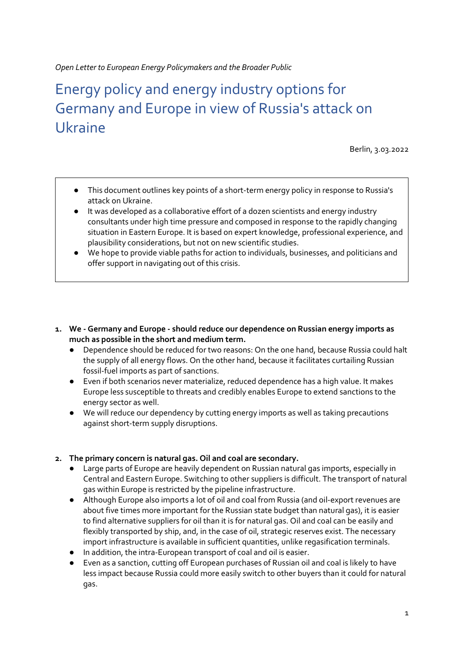Open Letter to European Energy Policymakers and the Broader Public

# Energy policy and energy industry options for Germany and Europe in view of Russia's attack on Ukraine

Berlin, 3.03.2022

- This document outlines key points of a short-term energy policy in response to Russia's attack on Ukraine.
- It was developed as a collaborative effort of a dozen scientists and energy industry consultants under high time pressure and composed in response to the rapidly changing situation in Eastern Europe. It is based on expert knowledge, professional experience, and plausibility considerations, but not on new scientific studies.
- We hope to provide viable paths for action to individuals, businesses, and politicians and offer support in navigating out of this crisis.
- 1. We Germany and Europe should reduce our dependence on Russian energy imports as much as possible in the short and medium term.
	- Dependence should be reduced for two reasons: On the one hand, because Russia could halt the supply of all energy flows. On the other hand, because it facilitates curtailing Russian fossil-fuel imports as part of sanctions.
	- Even if both scenarios never materialize, reduced dependence has a high value. It makes Europe less susceptible to threats and credibly enables Europe to extend sanctions to the energy sector as well.
	- We will reduce our dependency by cutting energy imports as well as taking precautions against short-term supply disruptions.

#### 2. The primary concern is natural gas. Oil and coal are secondary.

- Large parts of Europe are heavily dependent on Russian natural gas imports, especially in Central and Eastern Europe. Switching to other suppliers is difficult. The transport of natural gas within Europe is restricted by the pipeline infrastructure.
- Although Europe also imports a lot of oil and coal from Russia (and oil-export revenues are about five times more important for the Russian state budget than natural gas), it is easier to find alternative suppliers for oil than it is for natural gas. Oil and coal can be easily and flexibly transported by ship, and, in the case of oil, strategic reserves exist. The necessary import infrastructure is available in sufficient quantities, unlike regasification terminals.
- In addition, the intra-European transport of coal and oil is easier.
- Even as a sanction, cutting off European purchases of Russian oil and coal is likely to have less impact because Russia could more easily switch to other buyers than it could for natural gas.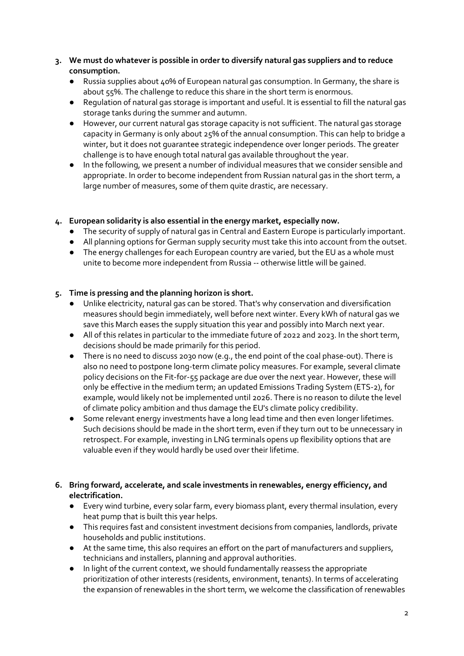# 3. We must do whatever is possible in order to diversify natural gas suppliers and to reduce consumption.

- Russia supplies about 40% of European natural gas consumption. In Germany, the share is about 55%. The challenge to reduce this share in the short term is enormous.
- Regulation of natural gas storage is important and useful. It is essential to fill the natural gas storage tanks during the summer and autumn.
- However, our current natural gas storage capacity is not sufficient. The natural gas storage capacity in Germany is only about 25% of the annual consumption. This can help to bridge a winter, but it does not guarantee strategic independence over longer periods. The greater challenge is to have enough total natural gas available throughout the year.
- In the following, we present a number of individual measures that we consider sensible and appropriate. In order to become independent from Russian natural gas in the short term, a large number of measures, some of them quite drastic, are necessary.

# 4. European solidarity is also essential in the energy market, especially now.

- The security of supply of natural gas in Central and Eastern Europe is particularly important.
- All planning options for German supply security must take this into account from the outset.
- The energy challenges for each European country are varied, but the EU as a whole must unite to become more independent from Russia -- otherwise little will be gained.

# 5. Time is pressing and the planning horizon is short.

- Unlike electricity, natural gas can be stored. That's why conservation and diversification measures should begin immediately, well before next winter. Every kWh of natural gas we save this March eases the supply situation this year and possibly into March next year.
- All of this relates in particular to the immediate future of 2022 and 2023. In the short term, decisions should be made primarily for this period.
- There is no need to discuss 2030 now (e.g., the end point of the coal phase-out). There is also no need to postpone long-term climate policy measures. For example, several climate policy decisions on the Fit-for-55 package are due over the next year. However, these will only be effective in the medium term; an updated Emissions Trading System (ETS-2), for example, would likely not be implemented until 2026. There is no reason to dilute the level of climate policy ambition and thus damage the EU's climate policy credibility.
- Some relevant energy investments have a long lead time and then even longer lifetimes. Such decisions should be made in the short term, even if they turn out to be unnecessary in retrospect. For example, investing in LNG terminals opens up flexibility options that are valuable even if they would hardly be used over their lifetime.

# 6. Bring forward, accelerate, and scale investments in renewables, energy efficiency, and electrification.

- Every wind turbine, every solar farm, every biomass plant, every thermal insulation, every heat pump that is built this year helps.
- This requires fast and consistent investment decisions from companies, landlords, private households and public institutions.
- At the same time, this also requires an effort on the part of manufacturers and suppliers, technicians and installers, planning and approval authorities.
- In light of the current context, we should fundamentally reassess the appropriate prioritization of other interests (residents, environment, tenants). In terms of accelerating the expansion of renewables in the short term, we welcome the classification of renewables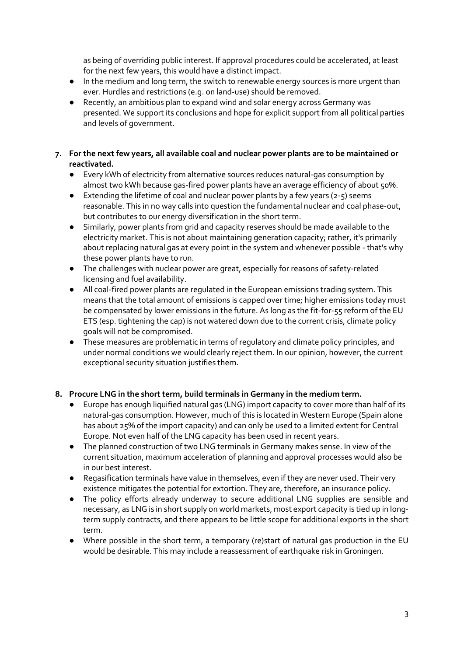as being of overriding public interest. If approval procedures could be accelerated, at least for the next few years, this would have a distinct impact.

- In the medium and long term, the switch to renewable energy sources is more urgent than ever. Hurdles and restrictions (e.g. on land-use) should be removed.
- Recently, an ambitious plan to expand wind and solar energy across Germany was presented. We support its conclusions and hope for explicit support from all political parties and levels of government.

## 7. For the next few years, all available coal and nuclear power plants are to be maintained or reactivated.

- Every kWh of electricity from alternative sources reduces natural-gas consumption by almost two kWh because gas-fired power plants have an average efficiency of about 50%.
- $\bullet$  Extending the lifetime of coal and nuclear power plants by a few years (2-5) seems reasonable. This in no way calls into question the fundamental nuclear and coal phase-out, but contributes to our energy diversification in the short term.
- Similarly, power plants from grid and capacity reserves should be made available to the electricity market. This is not about maintaining generation capacity; rather, it's primarily about replacing natural gas at every point in the system and whenever possible - that's why these power plants have to run.
- The challenges with nuclear power are great, especially for reasons of safety-related licensing and fuel availability.
- All coal-fired power plants are regulated in the European emissions trading system. This means that the total amount of emissions is capped over time; higher emissions today must be compensated by lower emissions in the future. As long as the fit-for-55 reform of the EU ETS (esp. tightening the cap) is not watered down due to the current crisis, climate policy goals will not be compromised.
- These measures are problematic in terms of regulatory and climate policy principles, and under normal conditions we would clearly reject them. In our opinion, however, the current exceptional security situation justifies them.

# 8. Procure LNG in the short term, build terminals in Germany in the medium term.

- Europe has enough liquified natural gas (LNG) import capacity to cover more than half of its natural-gas consumption. However, much of this is located in Western Europe (Spain alone has about 25% of the import capacity) and can only be used to a limited extent for Central Europe. Not even half of the LNG capacity has been used in recent years.
- The planned construction of two LNG terminals in Germany makes sense. In view of the current situation, maximum acceleration of planning and approval processes would also be in our best interest.
- Regasification terminals have value in themselves, even if they are never used. Their very existence mitigates the potential for extortion. They are, therefore, an insurance policy.
- The policy efforts already underway to secure additional LNG supplies are sensible and necessary, as LNG is in short supply on world markets, most export capacity is tied up in longterm supply contracts, and there appears to be little scope for additional exports in the short term.
- Where possible in the short term, a temporary (re)start of natural gas production in the EU would be desirable. This may include a reassessment of earthquake risk in Groningen.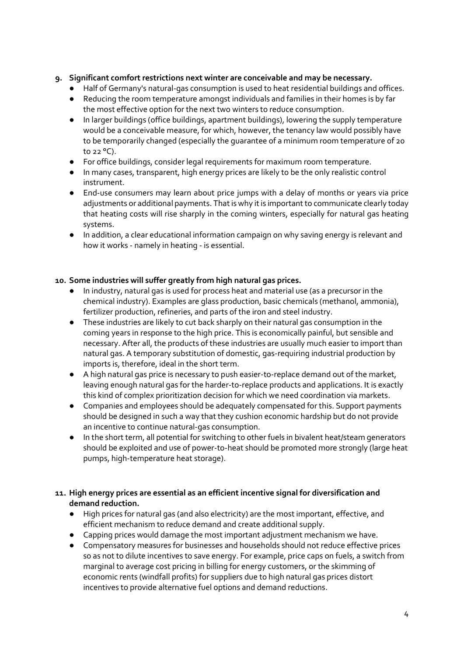# 9. Significant comfort restrictions next winter are conceivable and may be necessary.

- Half of Germany's natural-gas consumption is used to heat residential buildings and offices.
- Reducing the room temperature amongst individuals and families in their homes is by far the most effective option for the next two winters to reduce consumption.
- In larger buildings (office buildings, apartment buildings), lowering the supply temperature would be a conceivable measure, for which, however, the tenancy law would possibly have to be temporarily changed (especially the guarantee of a minimum room temperature of 20 to 22 °C).
- For office buildings, consider legal requirements for maximum room temperature.
- In many cases, transparent, high energy prices are likely to be the only realistic control instrument.
- End-use consumers may learn about price jumps with a delay of months or years via price adjustments or additional payments. That is why it is important to communicate clearly today that heating costs will rise sharply in the coming winters, especially for natural gas heating systems.
- In addition, a clear educational information campaign on why saving energy is relevant and how it works - namely in heating - is essential.

# 10. Some industries will suffer greatly from high natural gas prices.

- In industry, natural gas is used for process heat and material use (as a precursor in the chemical industry). Examples are glass production, basic chemicals (methanol, ammonia), fertilizer production, refineries, and parts of the iron and steel industry.
- These industries are likely to cut back sharply on their natural gas consumption in the coming years in response to the high price. This is economically painful, but sensible and necessary. After all, the products of these industries are usually much easier to import than natural gas. A temporary substitution of domestic, gas-requiring industrial production by imports is, therefore, ideal in the short term.
- A high natural gas price is necessary to push easier-to-replace demand out of the market, leaving enough natural gas for the harder-to-replace products and applications. It is exactly this kind of complex prioritization decision for which we need coordination via markets.
- Companies and employees should be adequately compensated for this. Support payments should be designed in such a way that they cushion economic hardship but do not provide an incentive to continue natural-gas consumption.
- In the short term, all potential for switching to other fuels in bivalent heat/steam generators should be exploited and use of power-to-heat should be promoted more strongly (large heat pumps, high-temperature heat storage).

#### 11. High energy prices are essential as an efficient incentive signal for diversification and demand reduction.

- High prices for natural gas (and also electricity) are the most important, effective, and efficient mechanism to reduce demand and create additional supply.
- Capping prices would damage the most important adjustment mechanism we have.
- Compensatory measures for businesses and households should not reduce effective prices so as not to dilute incentives to save energy. For example, price caps on fuels, a switch from marginal to average cost pricing in billing for energy customers, or the skimming of economic rents (windfall profits) for suppliers due to high natural gas prices distort incentives to provide alternative fuel options and demand reductions.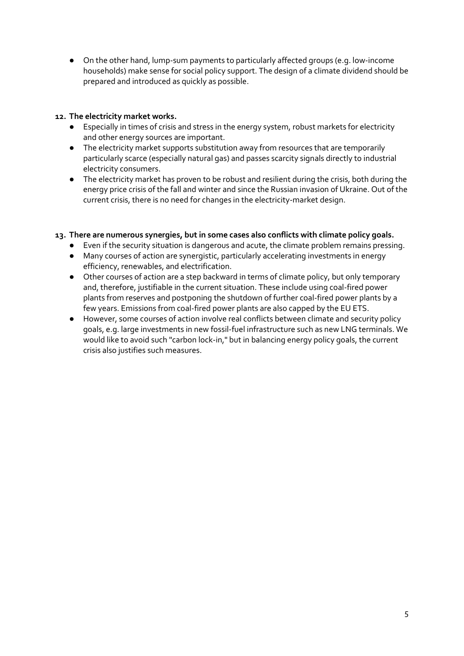● On the other hand, lump-sum payments to particularly affected groups (e.g. low-income households) make sense for social policy support. The design of a climate dividend should be prepared and introduced as quickly as possible.

# 12. The electricity market works.

- Especially in times of crisis and stress in the energy system, robust markets for electricity and other energy sources are important.
- The electricity market supports substitution away from resources that are temporarily particularly scarce (especially natural gas) and passes scarcity signals directly to industrial electricity consumers.
- The electricity market has proven to be robust and resilient during the crisis, both during the energy price crisis of the fall and winter and since the Russian invasion of Ukraine. Out of the current crisis, there is no need for changes in the electricity-market design.

#### 13. There are numerous synergies, but in some cases also conflicts with climate policy goals.

- Even if the security situation is dangerous and acute, the climate problem remains pressing.
- Many courses of action are synergistic, particularly accelerating investments in energy efficiency, renewables, and electrification.
- Other courses of action are a step backward in terms of climate policy, but only temporary and, therefore, justifiable in the current situation. These include using coal-fired power plants from reserves and postponing the shutdown of further coal-fired power plants by a few years. Emissions from coal-fired power plants are also capped by the EU ETS.
- However, some courses of action involve real conflicts between climate and security policy goals, e.g. large investments in new fossil-fuel infrastructure such as new LNG terminals. We would like to avoid such "carbon lock-in," but in balancing energy policy goals, the current crisis also justifies such measures.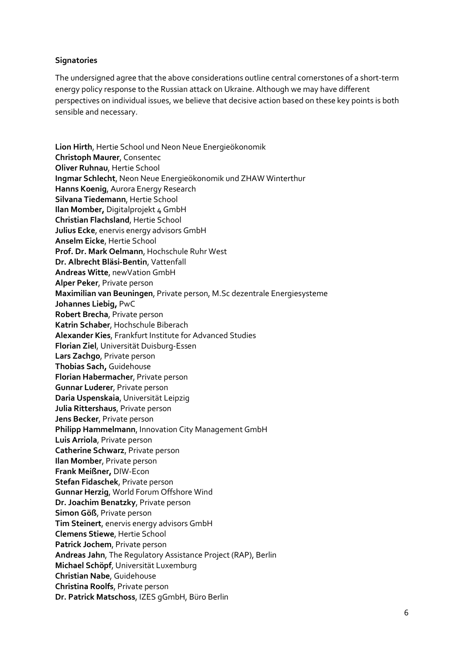# **Signatories**

The undersigned agree that the above considerations outline central cornerstones of a short-term energy policy response to the Russian attack on Ukraine. Although we may have different perspectives on individual issues, we believe that decisive action based on these key points is both sensible and necessary.

Lion Hirth, Hertie School und Neon Neue Energieökonomik Christoph Maurer, Consentec Oliver Ruhnau, Hertie School Ingmar Schlecht, Neon Neue Energieökonomik und ZHAW Winterthur Hanns Koenig, Aurora Energy Research Silvana Tiedemann, Hertie School Ilan Momber, Digitalprojekt 4 GmbH Christian Flachsland, Hertie School Julius Ecke, enervis energy advisors GmbH Anselm Eicke, Hertie School Prof. Dr. Mark Oelmann, Hochschule Ruhr West Dr. Albrecht Bläsi-Bentin, Vattenfall Andreas Witte, newVation GmbH Alper Peker, Private person Maximilian van Beuningen, Private person, M.Sc dezentrale Energiesysteme Johannes Liebig, PwC Robert Brecha, Private person Katrin Schaber, Hochschule Biberach Alexander Kies, Frankfurt Institute for Advanced Studies Florian Ziel, Universität Duisburg-Essen Lars Zachgo, Private person Thobias Sach, Guidehouse Florian Habermacher, Private person Gunnar Luderer, Private person Daria Uspenskaia, Universität Leipzig Julia Rittershaus, Private person Jens Becker, Private person Philipp Hammelmann, Innovation City Management GmbH Luis Arriola, Private person Catherine Schwarz, Private person Ilan Momber, Private person Frank Meißner, DIW-Econ Stefan Fidaschek, Private person Gunnar Herzig, World Forum Offshore Wind Dr. Joachim Benatzky, Private person Simon Göß, Private person Tim Steinert, enervis energy advisors GmbH Clemens Stiewe, Hertie School Patrick Jochem, Private person Andreas Jahn, The Regulatory Assistance Project (RAP), Berlin Michael Schöpf, Universität Luxemburg Christian Nabe, Guidehouse Christina Roolfs, Private person Dr. Patrick Matschoss, IZES gGmbH, Büro Berlin